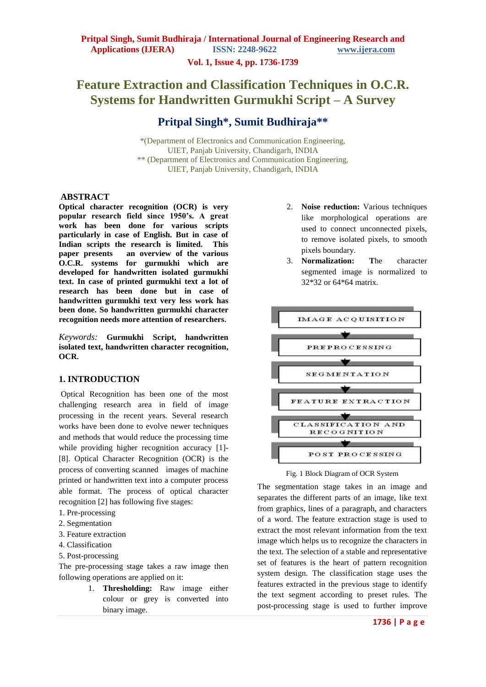**Vol. 1, Issue 4, pp. 1736-1739**

# **Feature Extraction and Classification Techniques in O.C.R. Systems for Handwritten Gurmukhi Script – A Survey**

## **Pritpal Singh\*, Sumit Budhiraja\*\***

\*(Department of Electronics and Communication Engineering, UIET, Panjab University, Chandigarh, INDIA \*\* (Department of Electronics and Communication Engineering, UIET, Panjab University, Chandigarh, INDIA

### **ABSTRACT**

**Optical character recognition (OCR) is very popular research field since 1950's. A great work has been done for various scripts particularly in case of English. But in case of Indian scripts the research is limited. This paper presents an overview of the various O.C.R. systems for gurmukhi which are developed for handwritten isolated gurmukhi text. In case of printed gurmukhi text a lot of research has been done but in case of handwritten gurmukhi text very less work has been done. So handwritten gurmukhi character recognition needs more attention of researchers.**

*Keywords:* **Gurmukhi Script, handwritten isolated text, handwritten character recognition, OCR.**

### **1. INTRODUCTION**

Optical Recognition has been one of the most challenging research area in field of image processing in the recent years. Several research works have been done to evolve newer techniques and methods that would reduce the processing time while providing higher recognition accuracy [1]- [8]. Optical Character Recognition (OCR) is the process of converting scanned images of machine printed or handwritten text into a computer process able format. The process of optical character recognition [2] has following five stages:

- 1. Pre-processing
- 2. Segmentation
- 3. Feature extraction
- 4. Classification
- 5. Post-processing

The pre-processing stage takes a raw image then following operations are applied on it:

> 1. **Thresholding:** Raw image either colour or grey is converted into binary image.

- 2. **Noise reduction:** Various techniques like morphological operations are used to connect unconnected pixels, to remove isolated pixels, to smooth pixels boundary.
- 3. **Normalization: T**he character segmented image is normalized to 32\*32 or 64\*64 matrix.



Fig. 1 Block Diagram of OCR System

The segmentation stage takes in an image and separates the different parts of an image, like text from graphics, lines of a paragraph, and characters of a word. The feature extraction stage is used to extract the most relevant information from the text image which helps us to recognize the characters in the text. The selection of a stable and representative set of features is the heart of pattern recognition system design. The classification stage uses the features extracted in the previous stage to identify the text segment according to preset rules. The post-processing stage is used to further improve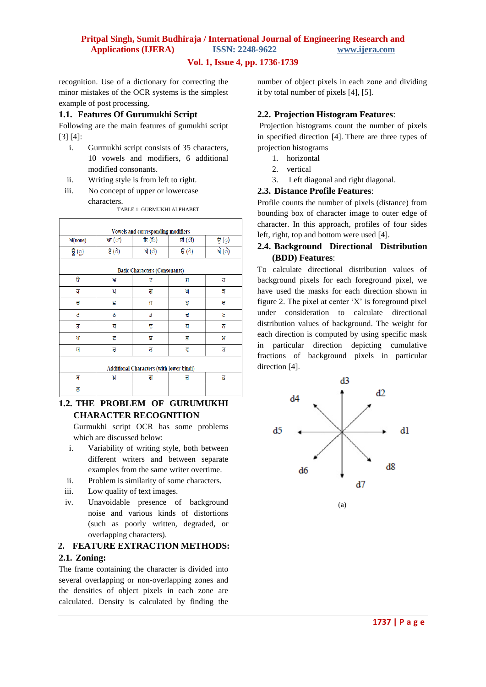## **Pritpal Singh, Sumit Budhiraja / International Journal of Engineering Research and Applications (IJERA) ISSN: 2248-9622 www.ijera.com**

### **Vol. 1, Issue 4, pp. 1736-1739**

recognition. Use of a dictionary for correcting the minor mistakes of the OCR systems is the simplest example of post processing.

#### **1.1. Features Of Gurumukhi Script**

Following are the main features of gumukhi script [3] [4]:

- i. Gurmukhi script consists of 35 characters, 10 vowels and modifiers, 6 additional modified consonants.
- ii. Writing style is from left to right.
- iii. No concept of upper or lowercase characters.

TABLE 1: GURMUKHI ALPHABET

| Vowels and corresponding modifiers              |       |       |       |       |  |  |  |
|-------------------------------------------------|-------|-------|-------|-------|--|--|--|
| ਅ(none)                                         | ਆ (ਾ) | (ি) ਇ | ਈ (ੀ) | ਉ (ੁ) |  |  |  |
| ਊ (ੂ)                                           | ਏ (ੇ) | ਐ (ੈ) | ਓ (ੋ) | ਐ (ੈ) |  |  |  |
| <b>Basic Characters (Consonants)</b>            |       |       |       |       |  |  |  |
| ₿                                               | ਆ     | पु    | ਸ     | ਹ     |  |  |  |
| ਕ                                               | ਖ     | ਗ     | ਘ     | 5     |  |  |  |
| ਚ                                               | 5     | ਜ     | प्र   | ਞ     |  |  |  |
| ट                                               | ठ     | ਡ     | ਦ     | ٤     |  |  |  |
| з                                               | ਥ     | ਦ     | प     | ਨ     |  |  |  |
| ਪ                                               | ट     | ਬ     | ਭ     | ਮ     |  |  |  |
| ਯ                                               | £     | ਲ     | ह     | ਤ     |  |  |  |
| <b>Additional Characters (with lower bindi)</b> |       |       |       |       |  |  |  |
| ਸ਼                                              | ਖ਼    | ਗ     | ਜ਼    | ट्र   |  |  |  |
| ਲ                                               |       |       |       |       |  |  |  |

### **1.2. THE PROBLEM OF GURUMUKHI CHARACTER RECOGNITION**

Gurmukhi script OCR has some problems which are discussed below:

- i. Variability of writing style, both between different writers and between separate examples from the same writer overtime.
- ii. Problem is similarity of some characters.
- iii. Low quality of text images.
- iv. Unavoidable presence of background noise and various kinds of distortions (such as poorly written, degraded, or overlapping characters).

### **2. FEATURE EXTRACTION METHODS:**

### **2.1. Zoning:**

The frame containing the character is divided into several overlapping or non-overlapping zones and the densities of object pixels in each zone are calculated. Density is calculated by finding the

number of object pixels in each zone and dividing it by total number of pixels [4], [5].

### **2.2. Projection Histogram Features**:

Projection histograms count the number of pixels in specified direction [4]. There are three types of projection histograms

- 1. horizontal
- 2. vertical
- 3. Left diagonal and right diagonal.

### **2.3. Distance Profile Features**:

Profile counts the number of pixels (distance) from bounding box of character image to outer edge of character. In this approach, profiles of four sides left, right, top and bottom were used [4].

### **2.4. Background Directional Distribution (BDD) Features**:

To calculate directional distribution values of background pixels for each foreground pixel, we have used the masks for each direction shown in figure 2. The pixel at center  $'X'$  is foreground pixel under consideration to calculate directional distribution values of background. The weight for each direction is computed by using specific mask in particular direction depicting cumulative fractions of background pixels in particular direction [4].

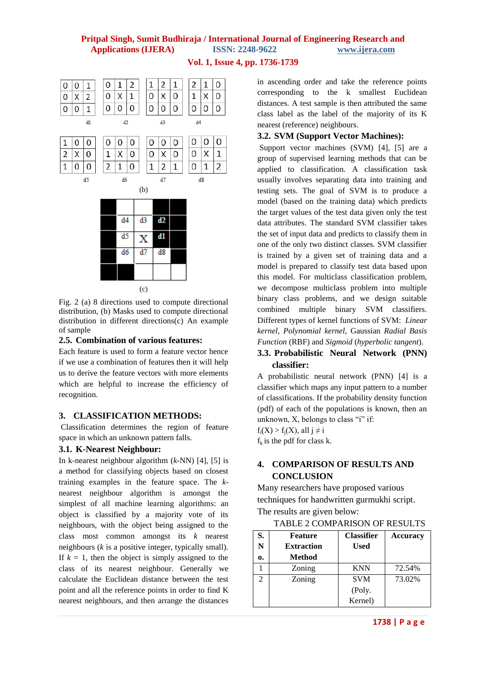## **Pritpal Singh, Sumit Budhiraja / International Journal of Engineering Research and Applications (IJERA) ISSN: 2248-9622 www.ijera.com**

**Vol. 1, Issue 4, pp. 1736-1739**



Fig. 2 (a) 8 directions used to compute directional distribution, (b) Masks used to compute directional distribution in different directions(c) An example of sample

#### **2.5. Combination of various features:**

Each feature is used to form a feature vector hence if we use a combination of features then it will help us to derive the feature vectors with more elements which are helpful to increase the efficiency of recognition.

### **3. CLASSIFICATION METHODS:**

Classification determines the region of feature space in which an unknown pattern falls.

### **3.1. K-Nearest Neighbour:**

In k-nearest neighbour algorithm (*k*-NN) [4], [5] is a method for classifying objects based on closest training examples in the feature space. The *k*nearest neighbour algorithm is amongst the simplest of all machine learning algorithms: an object is classified by a majority vote of its neighbours, with the object being assigned to the class most common amongst its *k* nearest neighbours (*k* is a positive integer, typically small). If  $k = 1$ , then the object is simply assigned to the class of its nearest neighbour. Generally we calculate the Euclidean distance between the test point and all the reference points in order to find K nearest neighbours, and then arrange the distances

in ascending order and take the reference points corresponding to the k smallest Euclidean distances. A test sample is then attributed the same class label as the label of the majority of its K nearest (reference) neighbours.

### **3.2. SVM (Support Vector Machines):**

Support vector machines (SVM) [4], [5] are a group of supervised learning methods that can be applied to classification. A classification task usually involves separating data into training and testing sets. The goal of SVM is to produce a model (based on the training data) which predicts the target values of the test data given only the test data attributes. The standard SVM classifier takes the set of input data and predicts to classify them in one of the only two distinct classes. SVM classifier is trained by a given set of training data and a model is prepared to classify test data based upon this model. For multiclass classification problem, we decompose multiclass problem into multiple binary class problems, and we design suitable combined multiple binary SVM classifiers. Different types of kernel functions of SVM: *Linear kernel*, *Polynomial kernel*, Gaussian *Radial Basis Function* (RBF) and *Sigmoid* (*hyperbolic tangent*).

## **3.3. Probabilistic Neural Network (PNN) classifier:**

A probabilistic neural network (PNN) [4] is a classifier which maps any input pattern to a number of classifications. If the probability density function (pdf) of each of the populations is known, then an unknown, X, belongs to class "i" if:

 $f_i(X) > f_i(X)$ , all  $j \neq i$ 

 $f_k$  is the pdf for class k.

### **4. COMPARISON OF RESULTS AND CONCLUSION**

Many researchers have proposed various techniques for handwritten gurmukhi script. The results are given below:

TABLE 2 COMPARISON OF RESULTS

| S.             | <b>Feature</b>    | <b>Classifier</b> | <b>Accuracy</b> |
|----------------|-------------------|-------------------|-----------------|
| N              | <b>Extraction</b> | <b>Used</b>       |                 |
| 0.             | Method            |                   |                 |
|                | Zoning            | <b>KNN</b>        | 72.54%          |
| $\overline{c}$ | Zoning            | <b>SVM</b>        | 73.02%          |
|                |                   | (Poly.            |                 |
|                |                   | Kernel)           |                 |